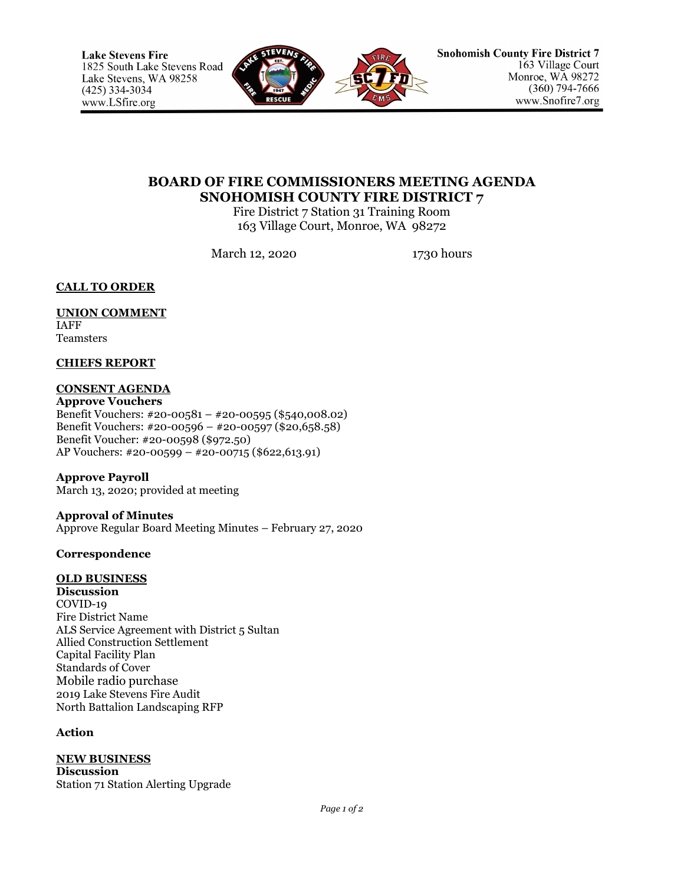

# **BOARD OF FIRE COMMISSIONERS MEETING AGENDA SNOHOMISH COUNTY FIRE DISTRICT 7**

Fire District 7 Station 31 Training Room 163 Village Court, Monroe, WA 98272

March 12, 2020 1730 hours

**CALL TO ORDER**

#### **UNION COMMENT** IAFF

Teamsters

# **CHIEFS REPORT**

# **CONSENT AGENDA**

**Approve Vouchers** Benefit Vouchers: #20-00581 – #20-00595 (\$540,008.02) Benefit Vouchers: #20-00596 – #20-00597 (\$20,658.58) Benefit Voucher: #20-00598 (\$972.50) AP Vouchers: #20-00599 – #20-00715 (\$622,613.91)

**Approve Payroll** March 13, 2020; provided at meeting

**Approval of Minutes** Approve Regular Board Meeting Minutes – February 27, 2020

# **Correspondence**

# **OLD BUSINESS**

**Discussion** COVID-19 Fire District Name ALS Service Agreement with District 5 Sultan Allied Construction Settlement Capital Facility Plan Standards of Cover Mobile radio purchase 2019 Lake Stevens Fire Audit North Battalion Landscaping RFP

## **Action**

**NEW BUSINESS Discussion** Station 71 Station Alerting Upgrade